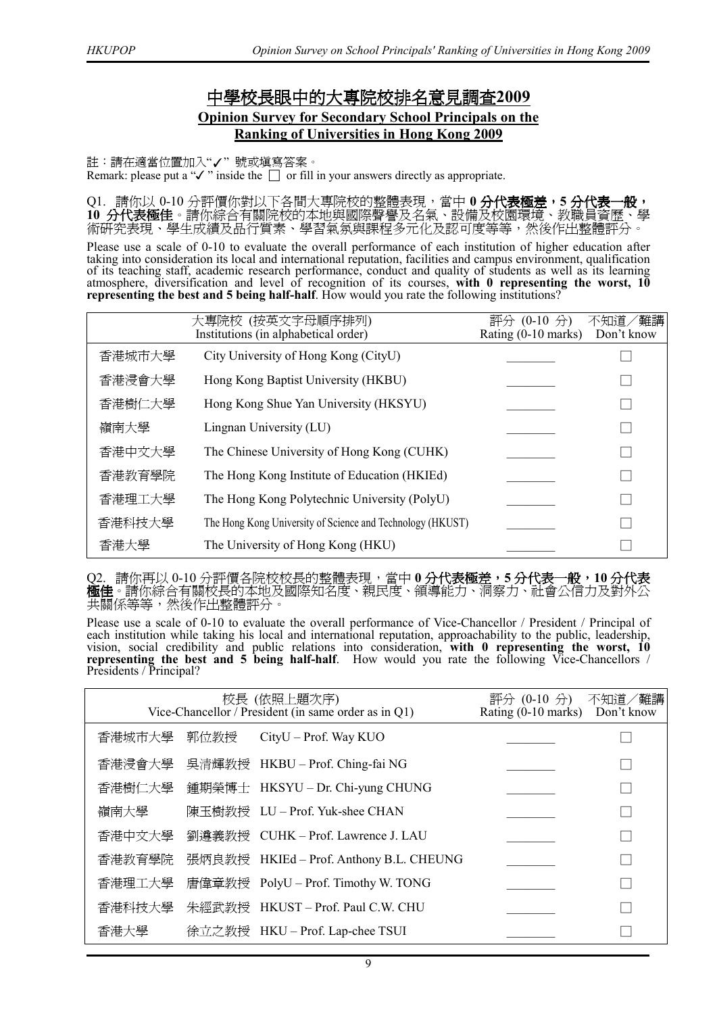## 中學校長眼中的大專院校排名意見調查**2009 Opinion Survey for Secondary School Principals on the Ranking of Universities in Hong Kong 2009**

註:請在適當位置加入"✓" 號或填寫答案。

Remark: please put a " $\checkmark$ " inside the  $\Box$  or fill in your answers directly as appropriate.

Q1. 請你以 0-10 分評價你對以下各間大專院校的整體表現,當中 **0 分代表極差,5 分代表一般, 10** 分代表極佳。請你綜合有關院校的本地與國際聲譽及名氣、設備及校園環境、教職員資歷、學 術研究表現、學生成績及品行質素、學習氣氛與課程多元化及認可度等等,然後作出整體評分。

Please use a scale of 0-10 to evaluate the overall performance of each institution of higher education after taking into consideration its local and international reputation, facilities and campus environment, qualification of its teaching staff, academic research performance, conduct and quality of students as well as its learning atmosphere, diversification and level of recognition of its courses, **with 0 representing the worst, 10 representing the best and 5 being half-half**. How would you rate the following institutions?

|        | 大專院校 (按英文字母順序排列)<br>Institutions (in alphabetical order)   | 評分<br>$(0-10 \nrightarrow)$<br>Rating $(0-10 \text{ marks})$ | 不知道/難講<br>Don't know |
|--------|------------------------------------------------------------|--------------------------------------------------------------|----------------------|
| 香港城市大學 | City University of Hong Kong (CityU)                       |                                                              |                      |
| 香港浸會大學 | Hong Kong Baptist University (HKBU)                        |                                                              |                      |
| 香港樹仁大學 | Hong Kong Shue Yan University (HKSYU)                      |                                                              |                      |
| 嶺南大學   | Lingnan University (LU)                                    |                                                              |                      |
| 香港中文大學 | The Chinese University of Hong Kong (CUHK)                 |                                                              |                      |
| 香港教育學院 | The Hong Kong Institute of Education (HKIEd)               |                                                              |                      |
| 香港理工大學 | The Hong Kong Polytechnic University (PolyU)               |                                                              |                      |
| 香港科技大學 | The Hong Kong University of Science and Technology (HKUST) |                                                              |                      |
| 香港大學   | The University of Hong Kong (HKU)                          |                                                              |                      |

Q2. 請你再以 0-10 分評價各院校校長的整體表現,當中 **0 分代表極差,5 分代表一般,10 分代表 極佳**。請你綜合有關校長的本地及國際知名度、親民度、領導能力、洞察力、社會公信力及對外公 共關係等等,然後作出整體評分。

Please use a scale of 0-10 to evaluate the overall performance of Vice-Chancellor / President / Principal of each institution while taking his local and international reputation, approachability to the public, leadership, vision, social credibility and public relations into consideration, **with 0 representing the worst, 10 representing the best and 5 being half-half**. How would you rate the following Vice-Chancellors / Presidents / Principal?

|        | 校長 (依照上題次序)<br>Vice-Chancellor / President (in same order as in Q1) | 評分 (0-10 分)<br>Rating $(0-10 \text{ marks})$ | 不知道/難講<br>Don't know |  |
|--------|---------------------------------------------------------------------|----------------------------------------------|----------------------|--|
| 香港城市大學 | 郭位教授                                                                | CityU - Prof. Way KUO                        |                      |  |
| 香港浸會大學 |                                                                     | 吳清輝教授 HKBU-Prof. Ching-fai NG                |                      |  |
| 香港樹仁大學 |                                                                     | 鍾期榮博士 HKSYU – Dr. Chi-yung CHUNG             |                      |  |
| 嶺南大學   |                                                                     | 陳玉樹教授 LU-Prof. Yuk-shee CHAN                 |                      |  |
| 香港中文大學 |                                                                     | 劉遵義教授 CUHK - Prof. Lawrence J. LAU           |                      |  |
| 香港教育學院 |                                                                     | 張炳良教授 HKIEd - Prof. Anthony B.L. CHEUNG      |                      |  |
| 香港理工大學 |                                                                     | 唐偉章教授 PolyU-Prof. Timothy W. TONG            |                      |  |
| 香港科技大學 |                                                                     | 朱經武教授 HKUST-Prof. Paul C.W. CHU              |                      |  |
| 香港大學   |                                                                     | 徐立之教授 HKU-Prof. Lap-chee TSUI                |                      |  |